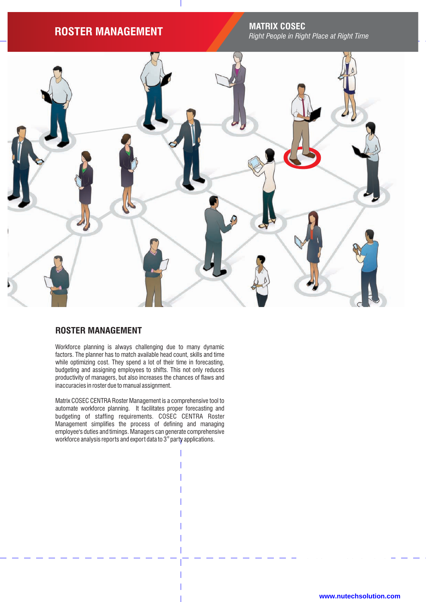# **ROSTER MANAGEMENT MATRIX COSEC**

*Right People in Right Place at Right Time*



# **ROSTER MANAGEMENT**

Workforce planning is always challenging due to many dynamic factors. The planner has to match available head count, skills and time while optimizing cost. They spend a lot of their time in forecasting, budgeting and assigning employees to shifts. This not only reduces productivity of managers, but also increases the chances of flaws and inaccuracies in roster due to manual assignment.

Matrix COSEC CENTRA Roster Management is a comprehensive tool to automate workforce planning. It facilitates proper forecasting and budgeting of staffing requirements. COSEC CENTRA Roster Management simplifies the process of defining and managing employee's duties and timings. Managers can generate comprehensive workforce analysis reports and export data to  $3<sup>n</sup>$  party applications.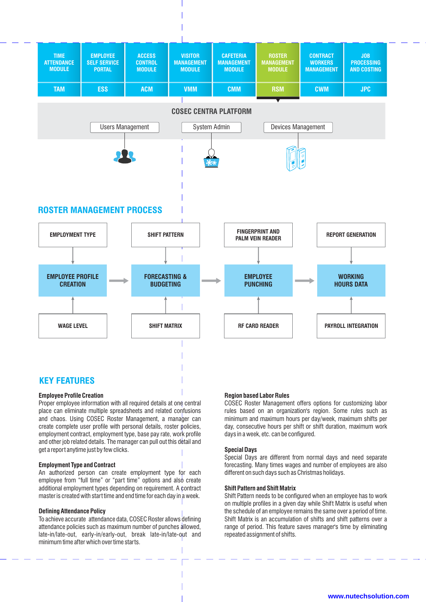

# **Employee Profile Creation**

Proper employee information with all required details at one central place can eliminate multiple spreadsheets and related confusions and chaos. Using COSEC Roster Management, a manager can create complete user profile with personal details, roster policies, employment contract, employment type, base pay rate, work profile and other job related details. The manager can pull out this detail and get a report anytime just by few clicks.

## **Employment Type and Contract**

An authorized person can create employment type for each employee from "full time" or "part time" options and also create additional employment types depending on requirement. A contract master is created with start time and end time for each day in a week.

#### **Defining Attendance Policy**

To achieve accurate attendance data, COSEC Roster allows defining attendance policies such as maximum number of punches allowed, late-in/late-out, early-in/early-out, break late-in/late-out and minimum time after which over time starts.

### **Region based Labor Rules**

COSEC Roster Management offers options for customizing labor rules based on an organization's region. Some rules such as minimum and maximum hours per day/week, maximum shifts per day, consecutive hours per shift or shift duration, maximum work days in a week, etc. can be configured.

### **Special Days**

Special Days are different from normal days and need separate forecasting. Many times wages and number of employees are also different on such days such as Christmas holidays.

#### **Shift Pattern and Shift Matrix**

Shift Pattern needs to be configured when an employee has to work on multiple profiles in a given day while Shift Matrix is useful when the schedule of an employee remains the same over a period of time. Shift Matrix is an accumulation of shifts and shift patterns over a range of period. This feature saves manager's time by eliminating repeated assignment of shifts.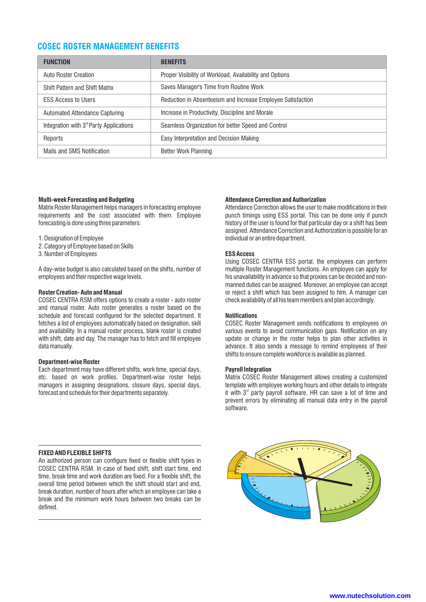# **COSEC ROSTER MANAGEMENT BENEFITS**

| <b>FUNCTION</b>                                     | <b>BENEFITS</b>                                             |
|-----------------------------------------------------|-------------------------------------------------------------|
| <b>Auto Roster Creation</b>                         | Proper Visibility of Workload, Availability and Options     |
| <b>Shift Pattern and Shift Matrix</b>               | Saves Manager's Time from Routine Work                      |
| <b>ESS Access to Users</b>                          | Reduction in Absenteeism and Increase Employee Satisfaction |
| Automated Attendance Capturing                      | Increase in Productivity, Discipline and Morale             |
| Integration with 3 <sup>rd</sup> Party Applications | Seamless Organization for better Speed and Control          |
| Reports                                             | Easy Interpretation and Decision Making                     |
| Mails and SMS Notification                          | Better Work Planning                                        |

## **Multi-week Forecasting and Budgeting**

Matrix Roster Management helps managers in forecasting employee requirements and the cost associated with them. Employee forecasting is done using three parameters:

1. Designation of Employee

- 2. Category of Employee based on Skills
- 3. Number of Employees

A day-wise budget is also calculated based on the shifts, number of employees and their respective wage levels.

#### **Roster Creation- Auto and Manual**

COSEC CENTRA RSM offers options to create a roster - auto roster and manual roster. Auto roster generates a roster based on the schedule and forecast configured for the selected department. It fetches a list of employees automatically based on designation, skill and availability. In a manual roster process, blank roster is created with shift, date and day. The manager has to fetch and fill employee data manually.

#### **Department-wise Roster**

Each department may have different shifts, work time, special days, etc. based on work profiles. Department-wise roster helps managers in assigning designations, closure days, special days, forecast and schedule for their departments separately.

## **Attendance Correction and Authorization**

Attendance Correction allows the user to make modifications in their punch timings using ESS portal. This can be done only if punch history of the user is found for that particular day or a shift has been assigned. Attendance Correction and Authorization is possible for an individual or an entire department.

## **ESS Access**

Using COSEC CENTRA ESS portal, the employees can perform multiple Roster Management functions. An employee can apply for his unavailability in advance so that proxies can be decided and nonmanned duties can be assigned. Moreover, an employee can accept or reject a shift which has been assigned to him. A manager can check availability of all his team members and plan accordingly.

#### **Notifications**

COSEC Roster Management sends notifications to employees on various events to avoid communication gaps. Notification on any update or change in the roster helps to plan other activities in advance. It also sends a message to remind employees of their shifts to ensure complete workforce is available as planned.

#### **Payroll Integration**

Matrix COSEC Roster Management allows creating a customized template with employee working hours and other details to integrate it with  $3<sup>rd</sup>$  party payroll software. HR can save a lot of time and prevent errors by eliminating all manual data entry in the payroll software.

#### **FIXED AND FLEXIBLE SHIFTS**

An authorized person can configure fixed or flexible shift types in COSEC CENTRA RSM. In case of fixed shift, shift start time, end time, break time and work duration are fixed. For a flexible shift, the overall time period between which the shift should start and end, break duration, number of hours after which an employee can take a break and the minimum work hours between two breaks can be defined.